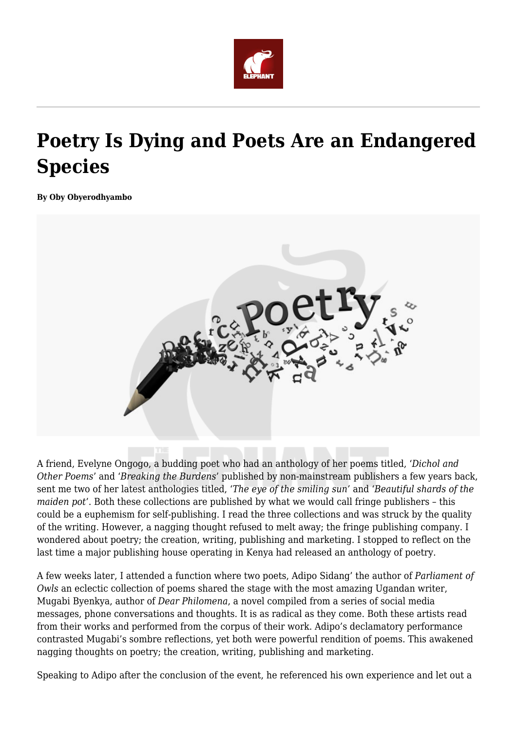

# **Poetry Is Dying and Poets Are an Endangered Species**

#### **By Oby Obyerodhyambo**



A friend, Evelyne Ongogo, a budding poet who had an anthology of her poems titled, '*Dichol and Other Poems*' and '*Breaking the Burdens*' published by non-mainstream publishers a few years back, sent me two of her latest anthologies titled, '*The eye of the smiling sun'* and '*Beautiful shards of the maiden pot*'. Both these collections are published by what we would call fringe publishers – this could be a euphemism for self-publishing. I read the three collections and was struck by the quality of the writing. However, a nagging thought refused to melt away; the fringe publishing company. I wondered about poetry; the creation, writing, publishing and marketing. I stopped to reflect on the last time a major publishing house operating in Kenya had released an anthology of poetry.

A few weeks later, I attended a function where two poets, Adipo Sidang' the author of *Parliament of Owls* an eclectic collection of poems shared the stage with the most amazing Ugandan writer, Mugabi Byenkya, author of *Dear Philomena*, a novel compiled from a series of social media messages, phone conversations and thoughts. It is as radical as they come. Both these artists read from their works and performed from the corpus of their work. Adipo's declamatory performance contrasted Mugabi's sombre reflections, yet both were powerful rendition of poems. This awakened nagging thoughts on poetry; the creation, writing, publishing and marketing.

Speaking to Adipo after the conclusion of the event, he referenced his own experience and let out a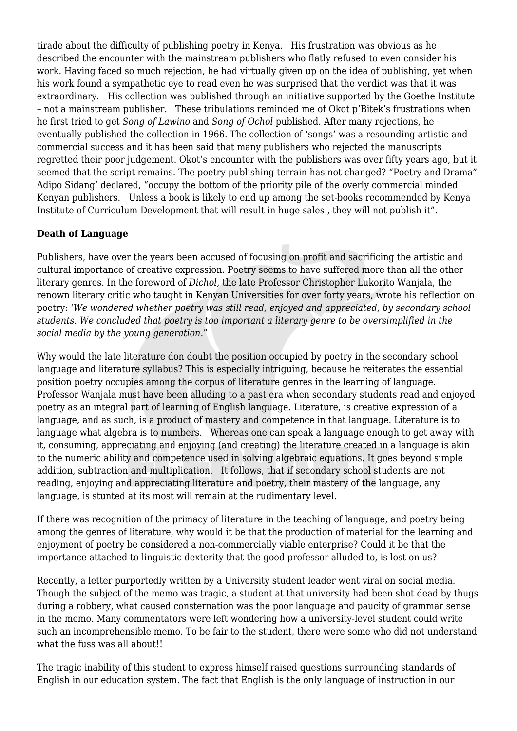tirade about the difficulty of publishing poetry in Kenya. His frustration was obvious as he described the encounter with the mainstream publishers who flatly refused to even consider his work. Having faced so much rejection, he had virtually given up on the idea of publishing, yet when his work found a sympathetic eye to read even he was surprised that the verdict was that it was extraordinary. His collection was published through an initiative supported by the Goethe Institute – not a mainstream publisher. These tribulations reminded me of Okot p'Bitek's frustrations when he first tried to get *Song of Lawino* and *Song of Ochol* published. After many rejections, he eventually published the collection in 1966. The collection of 'songs' was a resounding artistic and commercial success and it has been said that many publishers who rejected the manuscripts regretted their poor judgement. Okot's encounter with the publishers was over fifty years ago, but it seemed that the script remains. The poetry publishing terrain has not changed? "Poetry and Drama" Adipo Sidang' declared, "occupy the bottom of the priority pile of the overly commercial minded Kenyan publishers. Unless a book is likely to end up among the set-books recommended by Kenya Institute of Curriculum Development that will result in huge sales , they will not publish it".

# **Death of Language**

Publishers, have over the years been accused of focusing on profit and sacrificing the artistic and cultural importance of creative expression. Poetry seems to have suffered more than all the other literary genres. In the foreword of *Dichol*, the late Professor Christopher Lukorito Wanjala, the renown literary critic who taught in Kenyan Universities for over forty years, wrote his reflection on poetry: '*We wondered whether poetry was still read, enjoyed and appreciated, by secondary school students. We concluded that poetry is too important a literary genre to be oversimplified in the social media by the young generation*."

Why would the late literature don doubt the position occupied by poetry in the secondary school language and literature syllabus? This is especially intriguing, because he reiterates the essential position poetry occupies among the corpus of literature genres in the learning of language. Professor Wanjala must have been alluding to a past era when secondary students read and enjoyed poetry as an integral part of learning of English language. Literature, is creative expression of a language, and as such, is a product of mastery and competence in that language. Literature is to language what algebra is to numbers. Whereas one can speak a language enough to get away with it, consuming, appreciating and enjoying (and creating) the literature created in a language is akin to the numeric ability and competence used in solving algebraic equations. It goes beyond simple addition, subtraction and multiplication. It follows, that if secondary school students are not reading, enjoying and appreciating literature and poetry, their mastery of the language, any language, is stunted at its most will remain at the rudimentary level.

If there was recognition of the primacy of literature in the teaching of language, and poetry being among the genres of literature, why would it be that the production of material for the learning and enjoyment of poetry be considered a non-commercially viable enterprise? Could it be that the importance attached to linguistic dexterity that the good professor alluded to, is lost on us?

Recently, a letter purportedly written by a University student leader went viral on social media. Though the subject of the memo was tragic, a student at that university had been shot dead by thugs during a robbery, what caused consternation was the poor language and paucity of grammar sense in the memo. Many commentators were left wondering how a university-level student could write such an incomprehensible memo. To be fair to the student, there were some who did not understand what the fuss was all about!!

The tragic inability of this student to express himself raised questions surrounding standards of English in our education system. The fact that English is the only language of instruction in our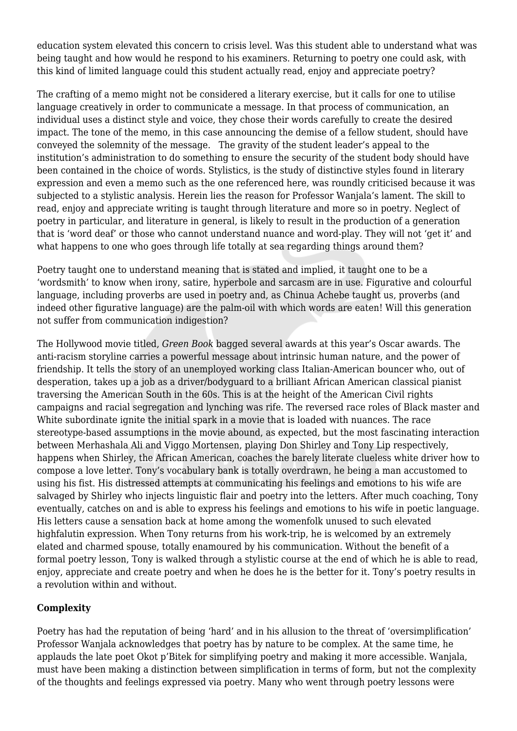education system elevated this concern to crisis level. Was this student able to understand what was being taught and how would he respond to his examiners. Returning to poetry one could ask, with this kind of limited language could this student actually read, enjoy and appreciate poetry?

The crafting of a memo might not be considered a literary exercise, but it calls for one to utilise language creatively in order to communicate a message. In that process of communication, an individual uses a distinct style and voice, they chose their words carefully to create the desired impact. The tone of the memo, in this case announcing the demise of a fellow student, should have conveyed the solemnity of the message. The gravity of the student leader's appeal to the institution's administration to do something to ensure the security of the student body should have been contained in the choice of words. Stylistics, is the study of distinctive styles found in literary expression and even a memo such as the one referenced here, was roundly criticised because it was subjected to a stylistic analysis. Herein lies the reason for Professor Wanjala's lament. The skill to read, enjoy and appreciate writing is taught through literature and more so in poetry. Neglect of poetry in particular, and literature in general, is likely to result in the production of a generation that is 'word deaf' or those who cannot understand nuance and word-play. They will not 'get it' and what happens to one who goes through life totally at sea regarding things around them?

Poetry taught one to understand meaning that is stated and implied, it taught one to be a 'wordsmith' to know when irony, satire, hyperbole and sarcasm are in use. Figurative and colourful language, including proverbs are used in poetry and, as Chinua Achebe taught us, proverbs (and indeed other figurative language) are the palm-oil with which words are eaten! Will this generation not suffer from communication indigestion?

The Hollywood movie titled, *Green Book* bagged several awards at this year's Oscar awards. The anti-racism storyline carries a powerful message about intrinsic human nature, and the power of friendship. It tells the story of an unemployed working class Italian-American bouncer who, out of desperation, takes up a job as a driver/bodyguard to a brilliant African American classical pianist traversing the American South in the 60s. This is at the height of the American Civil rights campaigns and racial segregation and lynching was rife. The reversed race roles of Black master and White subordinate ignite the initial spark in a movie that is loaded with nuances. The race stereotype-based assumptions in the movie abound, as expected, but the most fascinating interaction between Merhashala Ali and Viggo Mortensen, playing Don Shirley and Tony Lip respectively, happens when Shirley, the African American, coaches the barely literate clueless white driver how to compose a love letter. Tony's vocabulary bank is totally overdrawn, he being a man accustomed to using his fist. His distressed attempts at communicating his feelings and emotions to his wife are salvaged by Shirley who injects linguistic flair and poetry into the letters. After much coaching, Tony eventually, catches on and is able to express his feelings and emotions to his wife in poetic language. His letters cause a sensation back at home among the womenfolk unused to such elevated highfalutin expression. When Tony returns from his work-trip, he is welcomed by an extremely elated and charmed spouse, totally enamoured by his communication. Without the benefit of a formal poetry lesson, Tony is walked through a stylistic course at the end of which he is able to read, enjoy, appreciate and create poetry and when he does he is the better for it. Tony's poetry results in a revolution within and without.

### **Complexity**

Poetry has had the reputation of being 'hard' and in his allusion to the threat of 'oversimplification' Professor Wanjala acknowledges that poetry has by nature to be complex. At the same time, he applauds the late poet Okot p'Bitek for simplifying poetry and making it more accessible. Wanjala, must have been making a distinction between simplification in terms of form, but not the complexity of the thoughts and feelings expressed via poetry. Many who went through poetry lessons were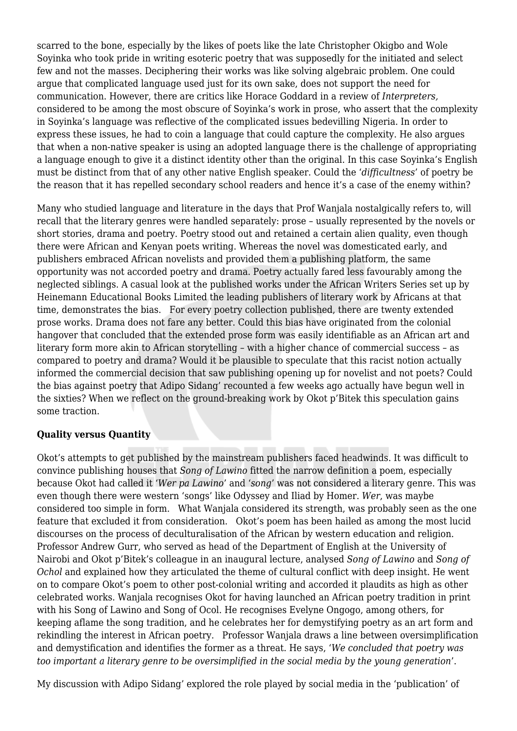scarred to the bone, especially by the likes of poets like the late Christopher Okigbo and Wole Soyinka who took pride in writing esoteric poetry that was supposedly for the initiated and select few and not the masses. Deciphering their works was like solving algebraic problem. One could argue that complicated language used just for its own sake, does not support the need for communication. However, there are critics like Horace Goddard in a review of *Interpreters,* considered to be among the most obscure of Soyinka's work in prose, who assert that the complexity in Soyinka's language was reflective of the complicated issues bedevilling Nigeria. In order to express these issues, he had to coin a language that could capture the complexity. He also argues that when a non-native speaker is using an adopted language there is the challenge of appropriating a language enough to give it a distinct identity other than the original. In this case Soyinka's English must be distinct from that of any other native English speaker. Could the '*difficultness*' of poetry be the reason that it has repelled secondary school readers and hence it's a case of the enemy within?

Many who studied language and literature in the days that Prof Wanjala nostalgically refers to, will recall that the literary genres were handled separately: prose – usually represented by the novels or short stories, drama and poetry. Poetry stood out and retained a certain alien quality, even though there were African and Kenyan poets writing. Whereas the novel was domesticated early, and publishers embraced African novelists and provided them a publishing platform, the same opportunity was not accorded poetry and drama. Poetry actually fared less favourably among the neglected siblings. A casual look at the published works under the African Writers Series set up by Heinemann Educational Books Limited the leading publishers of literary work by Africans at that time, demonstrates the bias. For every poetry collection published, there are twenty extended prose works. Drama does not fare any better. Could this bias have originated from the colonial hangover that concluded that the extended prose form was easily identifiable as an African art and literary form more akin to African storytelling – with a higher chance of commercial success – as compared to poetry and drama? Would it be plausible to speculate that this racist notion actually informed the commercial decision that saw publishing opening up for novelist and not poets? Could the bias against poetry that Adipo Sidang' recounted a few weeks ago actually have begun well in the sixties? When we reflect on the ground-breaking work by Okot p'Bitek this speculation gains some traction.

#### **Quality versus Quantity**

Okot's attempts to get published by the mainstream publishers faced headwinds. It was difficult to convince publishing houses that *Song of Lawino* fitted the narrow definition a poem, especially because Okot had called it '*Wer pa Lawino*' and '*song*' was not considered a literary genre. This was even though there were western 'songs' like Odyssey and Iliad by Homer. *Wer*, was maybe considered too simple in form. What Wanjala considered its strength, was probably seen as the one feature that excluded it from consideration. Okot's poem has been hailed as among the most lucid discourses on the process of deculturalisation of the African by western education and religion. Professor Andrew Gurr, who served as head of the Department of English at the University of Nairobi and Okot p'Bitek's colleague in an inaugural lecture, analysed *Song of Lawino* and *Song of Ochol* and explained how they articulated the theme of cultural conflict with deep insight. He went on to compare Okot's poem to other post-colonial writing and accorded it plaudits as high as other celebrated works. Wanjala recognises Okot for having launched an African poetry tradition in print with his Song of Lawino and Song of Ocol. He recognises Evelyne Ongogo, among others, for keeping aflame the song tradition, and he celebrates her for demystifying poetry as an art form and rekindling the interest in African poetry. Professor Wanjala draws a line between oversimplification and demystification and identifies the former as a threat. He says, '*We concluded that poetry was too important a literary genre to be oversimplified in the social media by the young generation*'.

My discussion with Adipo Sidang' explored the role played by social media in the 'publication' of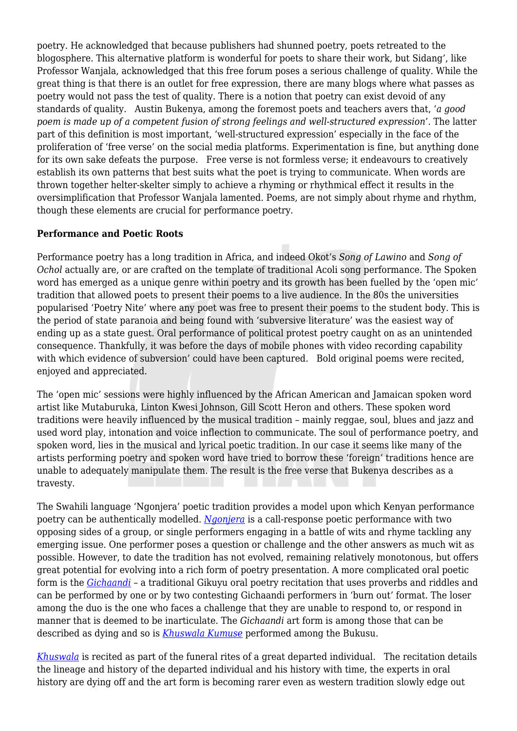poetry. He acknowledged that because publishers had shunned poetry, poets retreated to the blogosphere. This alternative platform is wonderful for poets to share their work, but Sidang', like Professor Wanjala, acknowledged that this free forum poses a serious challenge of quality. While the great thing is that there is an outlet for free expression, there are many blogs where what passes as poetry would not pass the test of quality. There is a notion that poetry can exist devoid of any standards of quality. Austin Bukenya, among the foremost poets and teachers avers that, '*a good poem is made up of a competent fusion of strong feelings and well-structured expression*'. The latter part of this definition is most important, 'well-structured expression' especially in the face of the proliferation of 'free verse' on the social media platforms. Experimentation is fine, but anything done for its own sake defeats the purpose. Free verse is not formless verse; it endeavours to creatively establish its own patterns that best suits what the poet is trying to communicate. When words are thrown together helter-skelter simply to achieve a rhyming or rhythmical effect it results in the oversimplification that Professor Wanjala lamented. Poems, are not simply about rhyme and rhythm, though these elements are crucial for performance poetry.

#### **Performance and Poetic Roots**

Performance poetry has a long tradition in Africa, and indeed Okot's *Song of Lawino* and *Song of Ochol* actually are, or are crafted on the template of traditional Acoli song performance. The Spoken word has emerged as a unique genre within poetry and its growth has been fuelled by the 'open mic' tradition that allowed poets to present their poems to a live audience. In the 80s the universities popularised 'Poetry Nite' where any poet was free to present their poems to the student body. This is the period of state paranoia and being found with 'subversive literature' was the easiest way of ending up as a state guest. Oral performance of political protest poetry caught on as an unintended consequence. Thankfully, it was before the days of mobile phones with video recording capability with which evidence of subversion' could have been captured. Bold original poems were recited, enjoyed and appreciated.

The 'open mic' sessions were highly influenced by the African American and Jamaican spoken word artist like Mutaburuka, Linton Kwesi Johnson, Gill Scott Heron and others. These spoken word traditions were heavily influenced by the musical tradition – mainly reggae, soul, blues and jazz and used word play, intonation and voice inflection to communicate. The soul of performance poetry, and spoken word, lies in the musical and lyrical poetic tradition. In our case it seems like many of the artists performing poetry and spoken word have tried to borrow these 'foreign' traditions hence are unable to adequately manipulate them. The result is the free verse that Bukenya describes as a travesty.

The Swahili language 'Ngonjera' poetic tradition provides a model upon which Kenyan performance poetry can be authentically modelled. *[Ngonjera](https://www.youtube.com/watch?v=2Tp2tV-s6EE)* is a call-response poetic performance with two opposing sides of a group, or single performers engaging in a battle of wits and rhyme tackling any emerging issue. One performer poses a question or challenge and the other answers as much wit as possible. However, to date the tradition has not evolved, remaining relatively monotonous, but offers great potential for evolving into a rich form of poetry presentation. A more complicated oral poetic form is the *[Gichaandi](https://www.youtube.com/watch?v=qTrgu60dpFM)* – a traditional Gikuyu oral poetry recitation that uses proverbs and riddles and can be performed by one or by two contesting Gichaandi performers in 'burn out' format. The loser among the duo is the one who faces a challenge that they are unable to respond to, or respond in manner that is deemed to be inarticulate. The *Gichaandi* art form is among those that can be described as dying and so is *[Khuswala Kumuse](https://www.youtube.com/watch?v=AG5QolGpI_A)* performed among the Bukusu.

*[Khuswala](https://www.youtube.com/watch?v=U0E-_nt9d3U)* is recited as part of the funeral rites of a great departed individual. The recitation details the lineage and history of the departed individual and his history with time, the experts in oral history are dying off and the art form is becoming rarer even as western tradition slowly edge out